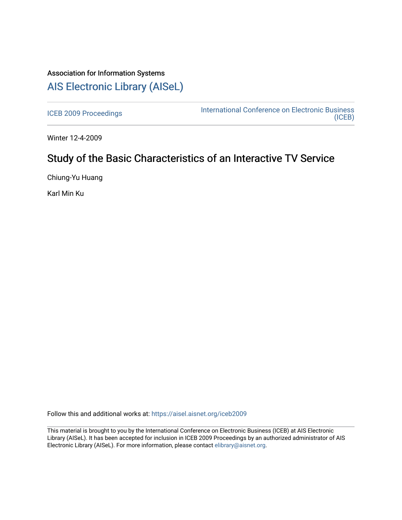## Association for Information Systems [AIS Electronic Library \(AISeL\)](https://aisel.aisnet.org/)

[ICEB 2009 Proceedings](https://aisel.aisnet.org/iceb2009) **International Conference on Electronic Business** [\(ICEB\)](https://aisel.aisnet.org/iceb) 

Winter 12-4-2009

# Study of the Basic Characteristics of an Interactive TV Service

Chiung-Yu Huang

Karl Min Ku

Follow this and additional works at: [https://aisel.aisnet.org/iceb2009](https://aisel.aisnet.org/iceb2009?utm_source=aisel.aisnet.org%2Ficeb2009%2F89&utm_medium=PDF&utm_campaign=PDFCoverPages)

This material is brought to you by the International Conference on Electronic Business (ICEB) at AIS Electronic Library (AISeL). It has been accepted for inclusion in ICEB 2009 Proceedings by an authorized administrator of AIS Electronic Library (AISeL). For more information, please contact [elibrary@aisnet.org.](mailto:elibrary@aisnet.org%3E)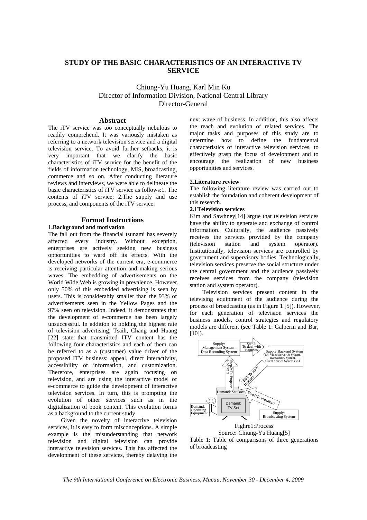## **STUDY OF THE BASIC CHARACTERISTICS OF AN INTERACTIVE TV SERVICE**

## Chiung-Yu Huang, Karl Min Ku Director of Information Division, National Central Library Director-General

### **Abstract**

The iTV service was too conceptually nebulous to readily comprehend. It was variously mistaken as referring to a network television service and a digital television service. To avoid further setbacks, it is very important that we clarify the basic characteristics of iTV service for the benefit of the fields of information technology, MIS, broadcasting, commerce and so on. After conducting literature reviews and interviews, we were able to delineate the basic characteristics of iTV service as follows:1. The contents of iTV service; 2.The supply and use process, and components of the iTV service.

## **Format Instructions**

### **1.Background and motivation**

The fall out from the financial tsunami has severely affected every industry. Without exception, enterprises are actively seeking new business opportunities to ward off its effects. With the developed networks of the current era, e-commerce is receiving particular attention and making serious waves. The embedding of advertisements on the World Wide Web is growing in prevalence. However, only 50% of this embedded advertising is seen by users. This is considerably smaller than the 93% of advertisements seen in the Yellow Pages and the 97% seen on television. Indeed, it demonstrates that the development of e-commerce has been largely unsuccessful. In addition to holding the highest rate of television advertising, Tsaih, Chang and Huang [22] state that transmitted ITV content has the following four characteristics and each of them can be referred to as a (customer) value driver of the proposed ITV business: appeal, direct interactivity, accessibility of information, and customization. Therefore, enterprises are again focusing on television, and are using the interactive model of e-commerce to guide the development of interactive television services. In turn, this is prompting the evolution of other services such as in the digitalization of book content. This evolution forms as a background to the current study.

Given the novelty of interactive television services, it is easy to form misconceptions. A simple example is the misunderstanding that network television and digital television can provide interactive television services. This has affected the development of these services, thereby delaying the

next wave of business. In addition, this also affects the reach and evolution of related services. The major tasks and purposes of this study are to determine how to define the fundamental characteristics of interactive television services, to effectively grasp the focus of development and to encourage the realization of new business opportunities and services.

#### **2.Literature review**

The following literature review was carried out to establish the foundation and coherent development of this research.

#### **2.1Television services**

Kim and Sawhney[14] argue that television services have the ability to generate and exchange of control information. Culturally, the audience passively receives the services provided by the company (television station and system operator). Institutionally, television services are controlled by government and supervisory bodies. Technologically, television services preserve the social structure under the central government and the audience passively receives services from the company (television station and system operator).

Television services present content in the televising equipment of the audience during the process of broadcasting (as in Figure 1 [5]). However, for each generation of television services the business models, control strategies and regulatory models are different (see Table 1: Galperin and Bar, [10]).



Source: Chiung-Yu Huang[5]

Table 1: Table of comparisons of three generations of broadcasting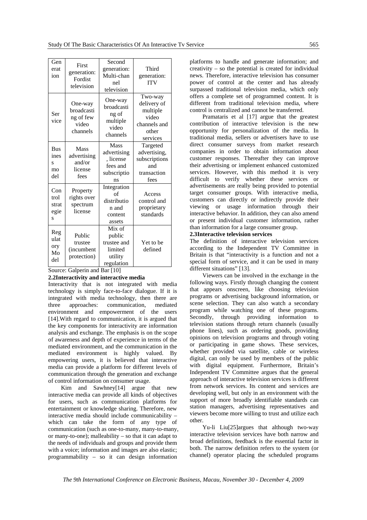| Gen<br>erat<br>ion                          | First<br>generation:<br>Fordist<br>television                 | Second<br>generation:<br>Multi-chan<br>nel<br>television                           | Third<br>generation:<br><b>ITV</b>                                               |
|---------------------------------------------|---------------------------------------------------------------|------------------------------------------------------------------------------------|----------------------------------------------------------------------------------|
| Ser<br>vice                                 | One-way<br>broadcasti<br>ng of few<br>video<br>channels       | One-way<br>broadcasti<br>ng of<br>multiple<br>video<br>channels                    | Two-way<br>delivery of<br>multiple<br>video<br>channels and<br>other<br>services |
| <b>Bus</b><br>ines<br>S<br>mo<br>del        | Mass<br>advertising<br>and/or<br>license<br>fees              | Mass<br>advertising<br>, license<br>fees and<br>subscriptio<br>ns                  | Targeted<br>advertising,<br>subscriptions<br>and<br>transaction<br>fees          |
| Con<br>trol<br>strat<br>egie<br>S           | Property<br>rights over<br>spectrum<br>license                | Integration<br>of<br>distributio<br>n and<br>content<br>assets                     | Access<br>control and<br>proprietary<br>standards                                |
| Reg<br>ulat<br>ory<br>Mo<br>del<br>$\Omega$ | Public<br>trustee<br>(incumbent<br>protection)<br>$C - 1 - 1$ | Mix of<br>public<br>trustee and<br>limited<br>utility<br>regulation<br>$1.5 - 101$ | Yet to be<br>defined                                                             |

Source: Galperin and Bar [10]

#### **2.2Interactivity and interactive media**

Interactivity that is not integrated with media technology is simply face-to-face dialogue. If it is integrated with media technology, then there are three approaches: communication, mediated environment and empowerment of the users [14].With regard to communication, it is argued that the key components for interactivity are information analysis and exchange. The emphasis is on the scope of awareness and depth of experience in terms of the mediated environment, and the communication in the mediated environment is highly valued. By empowering users, it is believed that interactive media can provide a platform for different levels of communication through the generation and exchange of control information on consumer usage.

Kim and Sawhney[14] argue that new interactive media can provide all kinds of objectives for users, such as communication platforms for entertainment or knowledge sharing. Therefore, new interactive media should include communicability – which can take the form of any type of communication (such as one-to-many, many-to-many, or many-to-one); malleability – so that it can adapt to the needs of individuals and groups and provide them with a voice; information and images are also elastic; programmability – so it can design information

platforms to handle and generate information; and creativity – so the potential is created for individual news. Therefore, interactive television has consumer power of control at the center and has already surpassed traditional television media, which only offers a complete set of programmed content. It is different from traditional television media, where control is centralized and cannot be transferred.

Pramataris et al [17] argue that the greatest contribution of interactive television is the new opportunity for personalization of the media. In traditional media, sellers or advertisers have to use direct consumer surveys from market research companies in order to obtain information about customer responses. Thereafter they can improve their advertising or implement enhanced customized services. However, with this method it is very difficult to verify whether these services or advertisements are really being provided to potential target consumer groups. With interactive media, customers can directly or indirectly provide their viewing or usage information through their interactive behavior. In addition, they can also amend or present individual customer information, rather than information for a large consumer group.

#### **2.3Interactive television services**

The definition of interactive television services according to the Independent TV Committee in Britain is that "interactivity is a function and not a special form of service, and it can be used in many different situations" [13].

Viewers can be involved in the exchange in the following ways. Firstly through changing the content that appears onscreen, like choosing television programs or advertising background information, or scene selection. They can also watch a secondary program while watching one of these programs. Secondly, through providing information to television stations through return channels (usually phone lines), such as ordering goods, providing opinions on television programs and through voting or participating in game shows. These services, whether provided via satellite, cable or wireless digital, can only be used by members of the public with digital equipment. Furthermore, Britain's Independent TV Committee argues that the general approach of interactive television services is different from network services. Its content and services are developing well, but only in an environment with the support of more broadly identifiable standards can station managers, advertising representatives and viewers become more willing to trust and utilize each other.

Yu-li Liu[25]argues that although two-way interactive television services have both narrow and broad definitions, feedback is the essential factor in both. The narrow definition refers to the system (or channel) operator placing the scheduled programs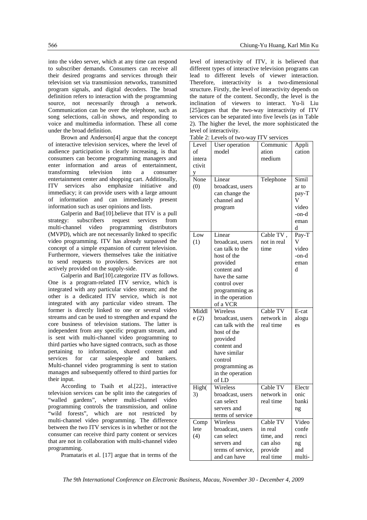into the video server, which at any time can respond to subscriber demands. Consumers can receive all their desired programs and services through their television set via transmission networks, transmitted program signals, and digital decoders. The broad definition refers to interaction with the programming source, not necessarily through a network. Communication can be over the telephone, such as song selections, call-in shows, and responding to voice and multimedia information. These all come under the broad definition.

Brown and Anderson[4] argue that the concept of interactive television services, where the level of audience participation is clearly increasing, is that consumers can become programming managers and enter information and areas of entertainment, transforming television into a consumer entertainment center and shopping cart. Additionally, ITV services also emphasize initiative and immediacy; it can provide users with a large amount of information and can immediately present information such as user opinions and lists.

Galperin and Bar<sup>[10]</sup>.believe that ITV is a pull strategy: subscribers request services from multi-channel video programming distributors (MVPD), which are not necessarily linked to specific video programming. ITV has already surpassed the concept of a simple expansion of current television. Furthermore, viewers themselves take the initiative to send requests to providers. Services are not actively provided on the supply-side.

Galperin and Bar[10].categorize ITV as follows. One is a program-related ITV service, which is integrated with any particular video stream; and the other is a dedicated ITV service, which is not integrated with any particular video stream. The former is directly linked to one or several video streams and can be used to strengthen and expand the core business of television stations. The latter is independent from any specific program stream, and is sent with multi-channel video programming to third parties who have signed contracts, such as those pertaining to information, shared content and services for car salespeople and bankers. Multi-channel video programming is sent to station manages and subsequently offered to third parties for their input.

According to Tsaih et al.[22]., interactive television services can be split into the categories of "walled gardens", where multi-channel video programming controls the transmission, and online "wild forests", which are not restricted by multi-channel video programming. The difference between the two ITV services is in whether or not the consumer can receive third party content or services that are not in collaboration with multi-channel video programming.

Pramataris et al. [17] argue that in terms of the

level of interactivity of ITV, it is believed that different types of interactive television programs can lead to different levels of viewer interaction. Therefore, interactivity is a two-dimensional structure. Firstly, the level of interactivity depends on the nature of the content. Secondly, the level is the inclination of viewers to interact. Yu-li Liu [25]argues that the two-way interactivity of ITV services can be separated into five levels (as in Table 2). The higher the level, the more sophisticated the level of interactivity.

Table 2: Levels of two-way ITV services

|        | vels of two way   | TT A<br>$5C1$ vices |        |
|--------|-------------------|---------------------|--------|
| Level  | User operation    | Communic            | Appli  |
| of     | model             | ation               | cation |
| intera |                   | medium              |        |
| ctivit |                   |                     |        |
| у      |                   |                     |        |
| None   | Linear            | Telephone           | Simil  |
| (0)    | broadcast, users  |                     | ar to  |
|        | can change the    |                     | pay-T  |
|        | channel and       |                     | V      |
|        | program           |                     | video  |
|        |                   |                     | -on-d  |
|        |                   |                     | eman   |
|        |                   |                     | d      |
| Low    | Linear            | Cable TV,           | Pay-T  |
| (1)    | broadcast, users  | not in real         | v      |
|        | can talk to the   | time                | video  |
|        | host of the       |                     | -on-d  |
|        | provided          |                     | eman   |
|        | content and       |                     | d      |
|        | have the same     |                     |        |
|        | control over      |                     |        |
|        | programming as    |                     |        |
|        | in the operation  |                     |        |
|        | of a VCR          |                     |        |
| Middl  | Wireless          | Cable TV            | E-cat  |
| e(2)   | broadcast, users  | network in          | alogu  |
|        | can talk with the | real time           | es     |
|        | host of the       |                     |        |
|        | provided          |                     |        |
|        | content and       |                     |        |
|        | have similar      |                     |        |
|        | control           |                     |        |
|        | programming as    |                     |        |
|        | in the operation  |                     |        |
|        | of LD             |                     |        |
| High(  | Wireless          | Cable TV            | Electr |
| 3)     | broadcast, users  | network in          | onic   |
|        | can select        | real time           | banki  |
|        | servers and       |                     | ng     |
|        | terms of service  |                     |        |
| Comp   | Wireless          | Cable TV            | Video  |
| lete   | broadcast, users  | in real             | confe  |
| (4)    | can select        | time, and           | renci  |
|        | servers and       | can also            | ng     |
|        | terms of service, | provide             | and    |
|        | and can have      | real time           | multi- |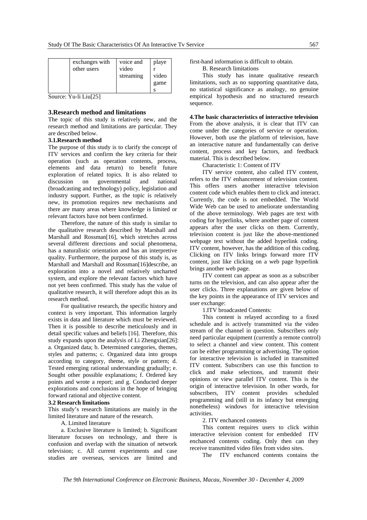| exchanges with<br>other users | voice and<br>video<br>streaming | playe<br>video<br>game |
|-------------------------------|---------------------------------|------------------------|
|-------------------------------|---------------------------------|------------------------|

Source: Yu-li Liu[25]

#### **3.Research method and limitations**

The topic of this study is relatively new, and the research method and limitations are particular. They are described below.

#### **3.1.Research method**

The purpose of this study is to clarify the concept of ITV services and confirm the key criteria for their operation (such as operation contents, process, elements and data return) to benefit future exploration of related topics. It is also related to discussion on governmental and national (broadcasting and technology) policy, legislation and industry support. Further, as the topic is relatively new, its promotion requires new mechanisms and there are many areas where knowledge is limited or relevant factors have not been confirmed.

Therefore, the nature of this study is similar to the qualitative research described by Marshall and Marshall and Rossman[16], which stretches across several different directions and social phenomena, has a naturalistic orientation and has an interpretive quality. Furthermore, the purpose of this study is, as Marshall and Marshall and Rossman[16]describe, an exploration into a novel and relatively uncharted system, and explore the relevant factors which have not yet been confirmed. This study has the value of qualitative research, it will therefore adopt this as its research method.

For qualitative research, the specific history and context is very important. This information largely exists in data and literature which must be reviewed. Then it is possible to describe meticulously and in detail specific values and beliefs [16]. Therefore, this study expands upon the analysis of Li Zhengxian[26]: a. Organized data; b. Determined categories, themes, styles and patterns; c. Organized data into groups according to category, theme, style or pattern; d. Tested emerging rational understanding gradually; e. Sought other possible explanations; f. Ordered key points and wrote a report; and g. Conducted deeper explorations and conclusions in the hope of bringing forward rational and objective content.

#### **3.2 Research limitations**

This study's research limitations are mainly in the limited literature and nature of the research.

A. Limited literature

a. Exclusive literature is limited; b. Significant literature focuses on technology, and there is confusion and overlap with the situation of network television; c. All current experiments and case studies are overseas, services are limited and first-hand information is difficult to obtain.

B. Research limitations

This study has innate qualitative research limitations, such as no supporting quantitative data, no statistical significance as analogy, no genuine empirical hypothesis and no structured research sequence.

**4.The basic characteristics of interactive television**  From the above analysis, it is clear that ITV can come under the categories of service or operation. However, both use the platform of television, have an interactive nature and fundamentally can derive content, process and key factors, and feedback material. This is described below.

Characteristic 1: Content of ITV

ITV service content, also called ITV content, refers to the ITV enhancement of television content. This offers users another interactive television content code which enables them to click and interact. Currently, the code is not embedded. The World Wide Web can be used to ameliorate understanding of the above terminology. Web pages are text with coding for hyperlinks, where another page of content appears after the user clicks on them. Currently, television content is just like the above-mentioned webpage text without the added hyperlink coding. ITV content, however, has the addition of this coding. Clicking on ITV links brings forward more ITV content, just like clicking on a web page hyperlink brings another web page.

ITV content can appear as soon as a subscriber turns on the television, and can also appear after the user clicks. Three explanations are given below of the key points in the appearance of ITV services and user exchange:

1.ITV broadcasted Contents:

This content is relayed according to a fixed schedule and is actively transmitted via the video stream of the channel in question. Subscribers only need particular equipment (currently a remote control) to select a channel and view content. This content can be either programming or advertising. The option for interactive television is included in transmitted ITV content. Subscribers can use this function to click and make selections, and transmit their opinions or view parallel ITV content. This is the origin of interactive television. In other words, for subscribers, ITV content provides scheduled programming and (still in its infancy but emerging nonetheless) windows for interactive television activities.

2. ITV enchanced contents

This content requires users to click within interactive television content for embedded ITV enchanced contents coding. Only then can they receive transmitted video files from video sites.

The ITV enchanced contents contains the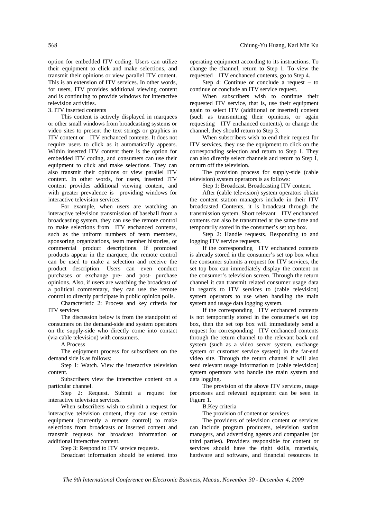option for embedded ITV coding. Users can utilize their equipment to click and make selections, and transmit their opinions or view parallel ITV content. This is an extension of ITV services. In other words, for users, ITV provides additional viewing content and is continuing to provide windows for interactive television activities.

#### 3. ITV inserted contents

This content is actively displayed in marquees or other small windows from broadcasting systems or video sites to present the text strings or graphics in ITV content or ITV enchanced contents. It does not require users to click as it automatically appears. Within inserted ITV content there is the option for embedded ITV coding, and consumers can use their equipment to click and make selections. They can also transmit their opinions or view parallel ITV content. In other words, for users, inserted ITV content provides additional viewing content, and with greater prevalence is providing windows for interactive television services.

For example, when users are watching an interactive television transmission of baseball from a broadcasting system, they can use the remote control to make selections from ITV enchanced contents, such as the uniform numbers of team members, sponsoring organizations, team member histories, or commercial product descriptions. If promoted products appear in the marquee, the remote control can be used to make a selection and receive the product description. Users can even conduct purchases or exchange pre- and post- purchase opinions. Also, if users are watching the broadcast of a political commentary, they can use the remote control to directly participate in public opinion polls.

Characteristic 2: Process and key criteria for ITV services

The discussion below is from the standpoint of consumers on the demand-side and system operators on the supply-side who directly come into contact (via cable television) with consumers.

A.Process

The enjoyment process for subscribers on the demand side is as follows:

Step 1: Watch. View the interactive television content.

Subscribers view the interactive content on a particular channel.

Step 2: Request. Submit a request for interactive television services.

When subscribers wish to submit a request for interactive television content, they can use certain equipment (currently a remote control) to make selections from broadcasts or inserted content and transmit requests for broadcast information or additional interactive content.

Step 3: Respond to ITV service requests.

Broadcast information should be entered into

operating equipment according to its instructions. To change the channel, return to Step 1. To view the requested ITV enchanced contents, go to Step 4.

Step 4: Continue or conclude a request – to continue or conclude an ITV service request.

When subscribers wish to continue their requested ITV service, that is, use their equipment again to select ITV (additional or inserted) content (such as transmitting their opinions, or again requesting ITV enchanced contents), or change the channel, they should return to Step 3.

When subscribers wish to end their request for ITV services, they use the equipment to click on the corresponding selection and return to Step 1. They can also directly select channels and return to Step 1, or turn off the television.

The provision process for supply-side (cable television) system operators is as follows:

Step 1: Broadcast. Broadcasting ITV content.

After (cable television) system operators obtain the content station managers include in their ITV broadcasted Contents, it is broadcast through the transmission system. Short relevant ITV enchanced contents can also be transmitted at the same time and temporarily stored in the consumer's set top box.

Step 2: Handle requests. Responding to and logging ITV service requests.

If the corresponding ITV enchanced contents is already stored in the consumer's set top box when the consumer submits a request for ITV services, the set top box can immediately display the content on the consumer's television screen. Through the return channel it can transmit related consumer usage data in regards to ITV services to (cable television) system operators to use when handling the main system and usage data logging system.

If the corresponding ITV enchanced contents is not temporarily stored in the consumer's set top box, then the set top box will immediately send a request for corresponding ITV enchanced contents through the return channel to the relevant back end system (such as a video server system, exchange system or customer service system) in the far-end video site. Through the return channel it will also send relevant usage information to (cable television) system operators who handle the main system and data logging.

The provision of the above ITV services, usage processes and relevant equipment can be seen in Figure 1.

B.Key criteria

The provision of content or services

The providers of television content or services can include program producers, television station managers, and advertising agents and companies (or third parties). Providers responsible for content or services should have the right skills, materials, hardware and software, and financial resources in

*The 9th International Conference on Electronic Business, Macau, November 30 - December 4, 2009*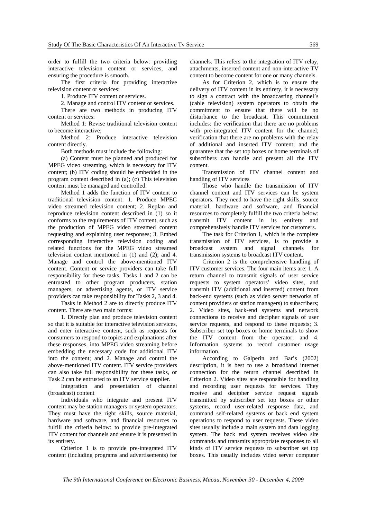order to fulfill the two criteria below: providing interactive television content or services, and ensuring the procedure is smooth.

The first criteria for providing interactive television content or services:

1. Produce ITV content or services.

2. Manage and control ITV content or services.

There are two methods in producing ITV content or services:

Method 1: Revise traditional television content to become interactive;

Method 2: Produce interactive television content directly.

Both methods must include the following:

(a) Content must be planned and produced for MPEG video streaming, which is necessary for ITV content; (b) ITV coding should be embedded in the program content described in (a); (c) This television content must be managed and controlled.

Method 1 adds the function of ITV content to traditional television content: 1. Produce MPEG video streamed television content; 2. Replan and reproduce television content described in (1) so it conforms to the requirements of ITV content, such as the production of MPEG video streamed content requesting and explaining user responses; 3. Embed corresponding interactive television coding and related functions for the MPEG video streamed television content mentioned in (1) and (2); and 4. Manage and control the above-mentioned ITV content. Content or service providers can take full responsibility for these tasks. Tasks 1 and 2 can be entrusted to other program producers, station managers, or advertising agents, or ITV service providers can take responsibility for Tasks 2, 3 and 4.

Tasks in Method 2 are to directly produce ITV content. There are two main forms:

1. Directly plan and produce television content so that it is suitable for interactive television services, and enter interactive content, such as requests for consumers to respond to topics and explanations after these responses, into MPEG video streaming before embedding the necessary code for additional ITV into the content; and 2. Manage and control the above-mentioned ITV content. ITV service providers can also take full responsibility for these tasks, or Task 2 can be entrusted to an ITV service supplier.

Integration and presentation of channel (broadcast) content

Individuals who integrate and present ITV content may be station managers or system operators. They must have the right skills, source material, hardware and software, and financial resources to fulfill the criteria below: to provide pre-integrated ITV content for channels and ensure it is presented in its entirety.

Criterion 1 is to provide pre-integrated ITV content (including programs and advertisements) for channels. This refers to the integration of ITV relay, attachments, inserted content and non-interactive TV content to become content for one or many channels.

As for Criterion 2, which is to ensure the delivery of ITV content in its entirety, it is necessary to sign a contract with the broadcasting channel's (cable television) system operators to obtain the commitment to ensure that there will be no disturbance to the broadcast. This commitment includes: the verification that there are no problems with pre-integrated ITV content for the channel; verification that there are no problems with the relay of additional and inserted ITV content; and the guarantee that the set top boxes or home terminals of subscribers can handle and present all the ITV content.

Transmission of ITV channel content and handling of ITV services

Those who handle the transmission of ITV channel content and ITV services can be system operators. They need to have the right skills, source material, hardware and software, and financial resources to completely fulfill the two criteria below: transmit ITV content in its entirety and comprehensively handle ITV services for customers.

The task for Criterion 1, which is the complete transmission of ITV services, is to provide a broadcast system and signal channels for transmission systems to broadcast ITV content.

Criterion 2 is the comprehensive handling of ITV customer services. The four main items are: 1. A return channel to transmit signals of user service requests to system operators' video sites, and transmit ITV (additional and inserted) content from back-end systems (such as video server networks of content providers or station managers) to subscribers; 2. Video sites, back-end systems and network connections to receive and decipher signals of user service requests, and respond to these requests; 3. Subscriber set top boxes or home terminals to show the ITV content from the operator; and 4. Information systems to record customer usage information.

According to Galperin and Bar's (2002) description, it is best to use a broadband internet connection for the return channel described in Criterion 2. Video sites are responsible for handling and recording user requests for services. They receive and decipher service request signals transmitted by subscriber set top boxes or other systems, record user-related response data, and command self-related systems or back end system operations to respond to user requests. These video sites usually include a main system and data logging system. The back end system receives video site commands and transmits appropriate responses to all kinds of ITV service requests to subscriber set top boxes. This usually includes video server computer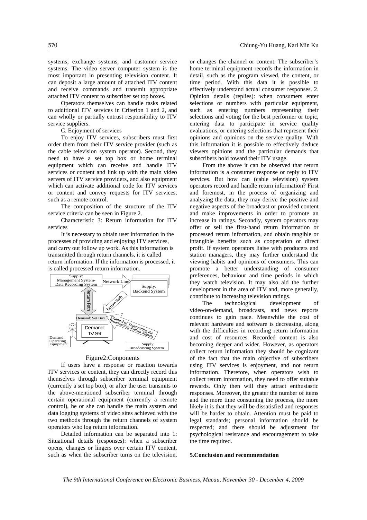systems, exchange systems, and customer service systems. The video server computer system is the most important in presenting television content. It can deposit a large amount of attached ITV content and receive commands and transmit appropriate attached ITV content to subscriber set top boxes.

Operators themselves can handle tasks related to additional ITV services in Criterion 1 and 2, and can wholly or partially entrust responsibility to ITV service suppliers.

C. Enjoyment of services

To enjoy ITV services, subscribers must first order them from their ITV service provider (such as the cable television system operator). Second, they need to have a set top box or home terminal equipment which can receive and handle ITV services or content and link up with the main video servers of ITV service providers, and also equipment which can activate additional code for ITV services or content and convey requests for ITV services, such as a remote control.

The composition of the structure of the ITV service criteria can be seen in Figure 2.

Characteristic 3: Return information for ITV services

It is necessary to obtain user information in the processes of providing and enjoying ITV services, and carry out follow up work. As this information is transmitted through return channels, it is called return information. If the information is processed, it is called processed return information.



#### Figure2:Conponents

If users have a response or reaction towards ITV services or content, they can directly record this themselves through subscriber terminal equipment (currently a set top box), or after the user transmits to the above-mentioned subscriber terminal through certain operational equipment (currently a remote control), he or she can handle the main system and data logging systems of video sites achieved with the two methods through the return channels of system operators who log return information.

Detailed information can be separated into 1: Situational details (responses): when a subscriber opens, changes or lingers over certain ITV content, such as when the subscriber turns on the television, or changes the channel or content. The subscriber's home terminal equipment records the information in detail, such as the program viewed, the content, or time period. With this data it is possible to effectively understand actual consumer responses. 2. Opinion details (replies): when consumers enter selections or numbers with particular equipment, such as entering numbers representing their selections and voting for the best performer or topic, entering data to participate in service quality evaluations, or entering selections that represent their opinions and opinions on the service quality. With this information it is possible to effectively deduce viewers opinions and the particular demands that subscribers hold toward their ITV usage.

From the above it can be observed that return information is a consumer response or reply to ITV services. But how can (cable television) system operators record and handle return information? First and foremost, in the process of organizing and analyzing the data, they may derive the positive and negative aspects of the broadcast or provided content and make improvements in order to promote an increase in ratings. Secondly, system operators may offer or sell the first-hand return information or processed return information, and obtain tangible or intangible benefits such as cooperation or direct profit. If system operators liaise with producers and station managers, they may further understand the viewing habits and opinions of consumers. This can promote a better understanding of consumer preferences, behaviour and time periods in which they watch television. It may also aid the further development in the area of ITV and, more generally, contribute to increasing television ratings.

The technological development of video-on-demand, broadcasts, and news reports continues to gain pace. Meanwhile the cost of relevant hardware and software is decreasing, along with the difficulties in recording return information and cost of resources. Recorded content is also becoming deeper and wider. However, as operators collect return information they should be cognizant of the fact that the main objective of subscribers using ITV services is enjoyment, and not return information. Therefore, when operators wish to collect return information, they need to offer suitable rewards. Only then will they attract enthusiastic responses. Moreover, the greater the number of items and the more time consuming the process, the more likely it is that they will be dissatisfied and responses will be harder to obtain. Attention must be paid to legal standards; personal information should be respected; and there should be adjustment for psychological resistance and encouragement to take the time required.

#### **5.Conclusion and recommendation**

*The 9th International Conference on Electronic Business, Macau, November 30 - December 4, 2009*